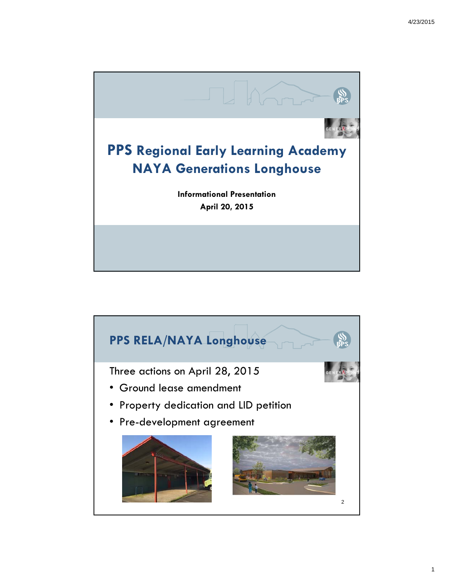

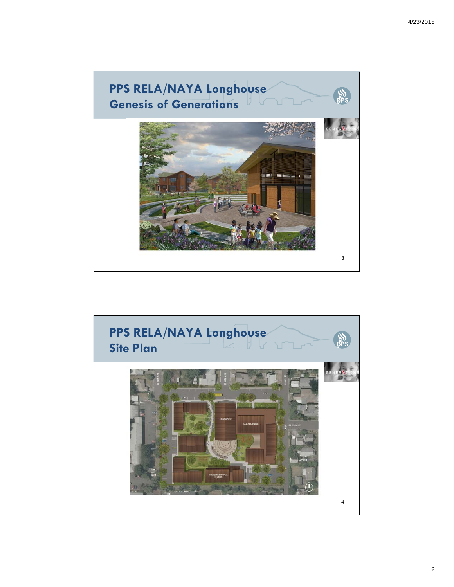

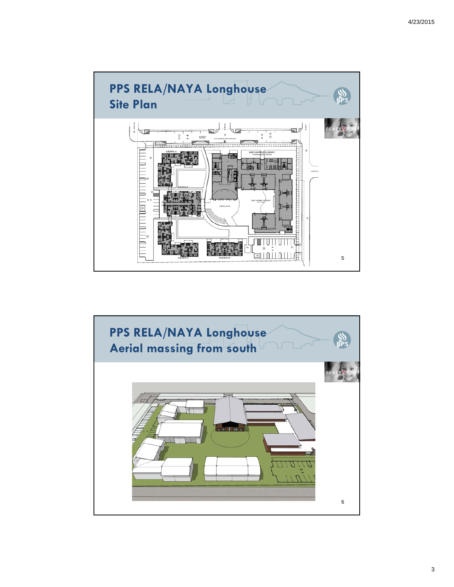

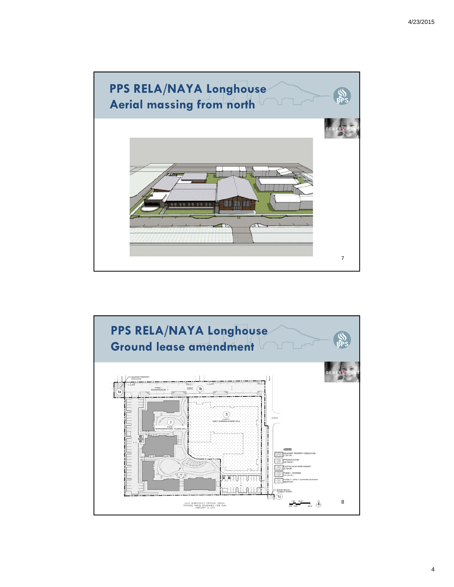

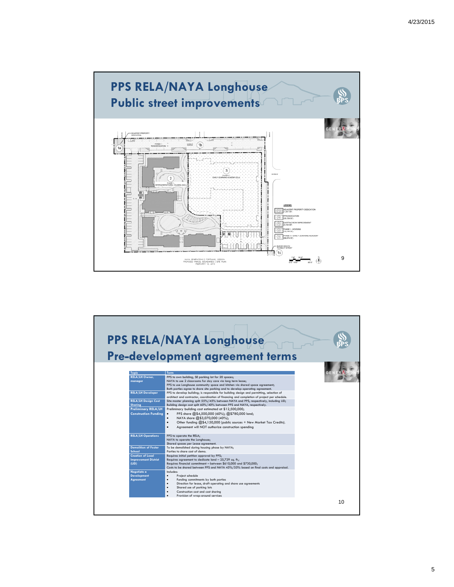